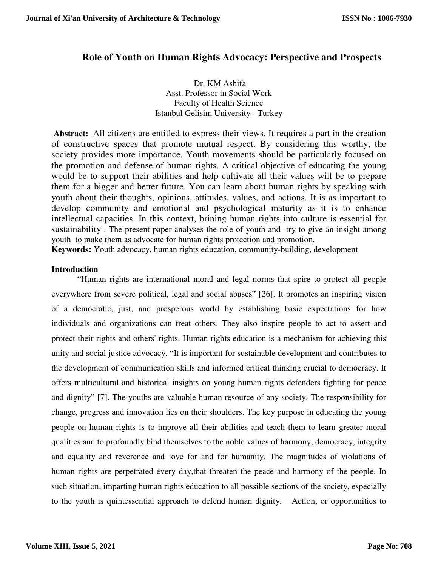# **Role of Youth on Human Rights Advocacy: Perspective and Prospects**

Dr. KM Ashifa Asst. Professor in Social Work Faculty of Health Science Istanbul Gelisim University- Turkey

 **Abstract:** All citizens are entitled to express their views. It requires a part in the creation of constructive spaces that promote mutual respect. By considering this worthy, the society provides more importance. Youth movements should be particularly focused on the promotion and defense of human rights. A critical objective of educating the young would be to support their abilities and help cultivate all their values will be to prepare them for a bigger and better future. You can learn about human rights by speaking with youth about their thoughts, opinions, attitudes, values, and actions. It is as important to develop community and emotional and psychological maturity as it is to enhance intellectual capacities. In this context, brining human rights into culture is essential for sustainability . The present paper analyses the role of youth and try to give an insight among youth to make them as advocate for human rights protection and promotion.

**Keywords:** Youth advocacy, human rights education, community-building, development

## **Introduction**

"Human rights are international moral and legal norms that spire to protect all people everywhere from severe political, legal and social abuses" [26]. It promotes an inspiring vision of a democratic, just, and prosperous world by establishing basic expectations for how individuals and organizations can treat others. They also inspire people to act to assert and protect their rights and others' rights. Human rights education is a mechanism for achieving this unity and social justice advocacy. "It is important for sustainable development and contributes to the development of communication skills and informed critical thinking crucial to democracy. It offers multicultural and historical insights on young human rights defenders fighting for peace and dignity" [7]. The youths are valuable human resource of any society. The responsibility for change, progress and innovation lies on their shoulders. The key purpose in educating the young people on human rights is to improve all their abilities and teach them to learn greater moral qualities and to profoundly bind themselves to the noble values of harmony, democracy, integrity and equality and reverence and love for and for humanity. The magnitudes of violations of human rights are perpetrated every day,that threaten the peace and harmony of the people. In such situation, imparting human rights education to all possible sections of the society, especially to the youth is quintessential approach to defend human dignity. Action, or opportunities to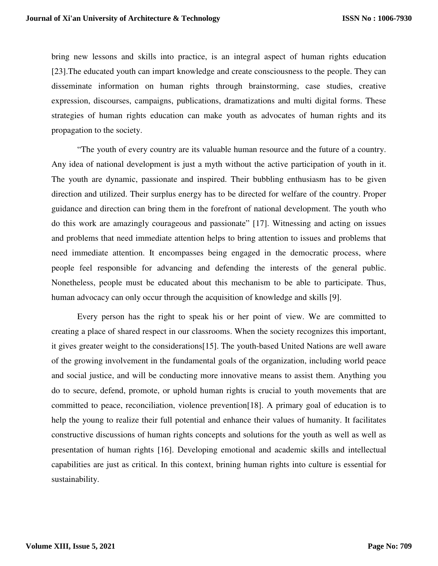bring new lessons and skills into practice, is an integral aspect of human rights education [23].The educated youth can impart knowledge and create consciousness to the people. They can disseminate information on human rights through brainstorming, case studies, creative expression, discourses, campaigns, publications, dramatizations and multi digital forms. These strategies of human rights education can make youth as advocates of human rights and its propagation to the society.

"The youth of every country are its valuable human resource and the future of a country. Any idea of national development is just a myth without the active participation of youth in it. The youth are dynamic, passionate and inspired. Their bubbling enthusiasm has to be given direction and utilized. Their surplus energy has to be directed for welfare of the country. Proper guidance and direction can bring them in the forefront of national development. The youth who do this work are amazingly courageous and passionate" [17]. Witnessing and acting on issues and problems that need immediate attention helps to bring attention to issues and problems that need immediate attention. It encompasses being engaged in the democratic process, where people feel responsible for advancing and defending the interests of the general public. Nonetheless, people must be educated about this mechanism to be able to participate. Thus, human advocacy can only occur through the acquisition of knowledge and skills [9].

Every person has the right to speak his or her point of view. We are committed to creating a place of shared respect in our classrooms. When the society recognizes this important, it gives greater weight to the considerations[15]. The youth-based United Nations are well aware of the growing involvement in the fundamental goals of the organization, including world peace and social justice, and will be conducting more innovative means to assist them. Anything you do to secure, defend, promote, or uphold human rights is crucial to youth movements that are committed to peace, reconciliation, violence prevention[18]. A primary goal of education is to help the young to realize their full potential and enhance their values of humanity. It facilitates constructive discussions of human rights concepts and solutions for the youth as well as well as presentation of human rights [16]. Developing emotional and academic skills and intellectual capabilities are just as critical. In this context, brining human rights into culture is essential for sustainability.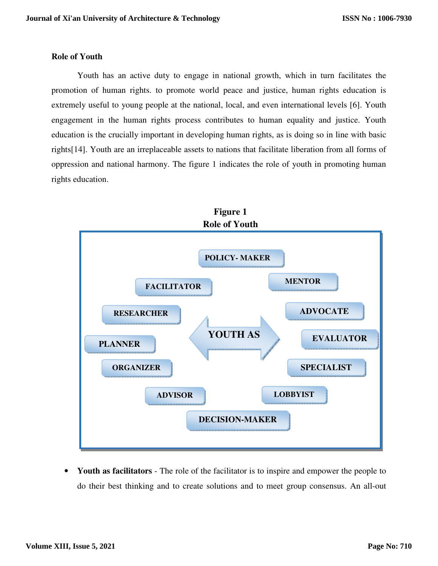## **Role of Youth**

Youth has an active duty to engage in national growth, which in turn facilitates the promotion of human rights. to promote world peace and justice, human rights education is extremely useful to young people at the national, local, and even international levels [6]. Youth engagement in the human rights process contributes to human equality and justice. Youth education is the crucially important in developing human rights, as is doing so in line with basic rights[14]. Youth are an irreplaceable assets to nations that facilitate liberation from all forms of oppression and national harmony. The figure 1 indicates the role of youth in promoting human rights education.



• **Youth as facilitators** - The role of the facilitator is to inspire and empower the people to do their best thinking and to create solutions and to meet group consensus. An all-out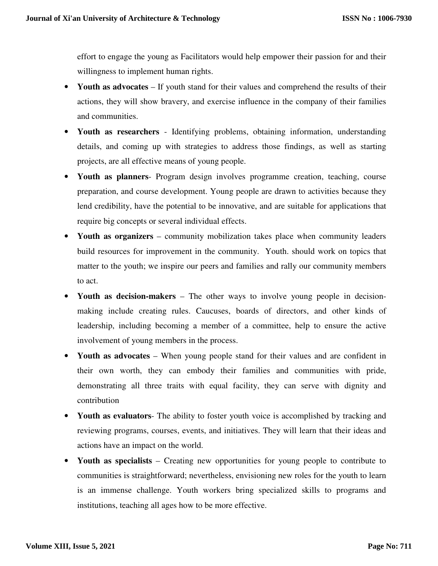effort to engage the young as Facilitators would help empower their passion for and their willingness to implement human rights.

- **Youth as advocates** If youth stand for their values and comprehend the results of their actions, they will show bravery, and exercise influence in the company of their families and communities.
- **Youth as researchers**  Identifying problems, obtaining information, understanding details, and coming up with strategies to address those findings, as well as starting projects, are all effective means of young people.
- **Youth as planners** Program design involves programme creation, teaching, course preparation, and course development. Young people are drawn to activities because they lend credibility, have the potential to be innovative, and are suitable for applications that require big concepts or several individual effects.
- **Youth as organizers** community mobilization takes place when community leaders build resources for improvement in the community. Youth. should work on topics that matter to the youth; we inspire our peers and families and rally our community members to act.
- **Youth as decision-makers**  The other ways to involve young people in decisionmaking include creating rules. Caucuses, boards of directors, and other kinds of leadership, including becoming a member of a committee, help to ensure the active involvement of young members in the process.
- **Youth as advocates** When young people stand for their values and are confident in their own worth, they can embody their families and communities with pride, demonstrating all three traits with equal facility, they can serve with dignity and contribution
- **Youth as evaluators** The ability to foster youth voice is accomplished by tracking and reviewing programs, courses, events, and initiatives. They will learn that their ideas and actions have an impact on the world.
- **Youth as specialists** Creating new opportunities for young people to contribute to communities is straightforward; nevertheless, envisioning new roles for the youth to learn is an immense challenge. Youth workers bring specialized skills to programs and institutions, teaching all ages how to be more effective.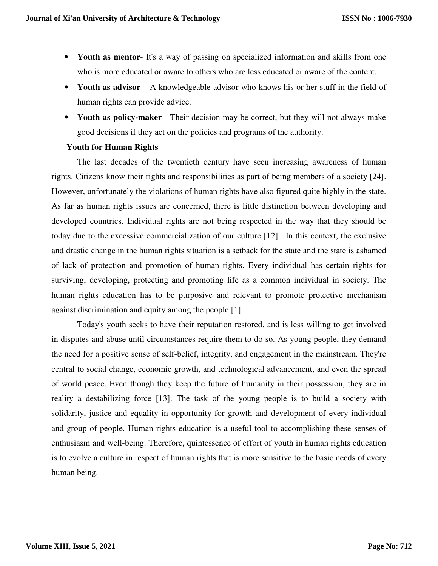- **Youth as mentor** It's a way of passing on specialized information and skills from one who is more educated or aware to others who are less educated or aware of the content.
- **Youth as advisor** A knowledgeable advisor who knows his or her stuff in the field of human rights can provide advice.
- **Youth as policy-maker** Their decision may be correct, but they will not always make good decisions if they act on the policies and programs of the authority.

## **Youth for Human Rights**

The last decades of the twentieth century have seen increasing awareness of human rights. Citizens know their rights and responsibilities as part of being members of a society [24]. However, unfortunately the violations of human rights have also figured quite highly in the state. As far as human rights issues are concerned, there is little distinction between developing and developed countries. Individual rights are not being respected in the way that they should be today due to the excessive commercialization of our culture [12]. In this context, the exclusive and drastic change in the human rights situation is a setback for the state and the state is ashamed of lack of protection and promotion of human rights. Every individual has certain rights for surviving, developing, protecting and promoting life as a common individual in society. The human rights education has to be purposive and relevant to promote protective mechanism against discrimination and equity among the people [1].

Today's youth seeks to have their reputation restored, and is less willing to get involved in disputes and abuse until circumstances require them to do so. As young people, they demand the need for a positive sense of self-belief, integrity, and engagement in the mainstream. They're central to social change, economic growth, and technological advancement, and even the spread of world peace. Even though they keep the future of humanity in their possession, they are in reality a destabilizing force [13]. The task of the young people is to build a society with solidarity, justice and equality in opportunity for growth and development of every individual and group of people. Human rights education is a useful tool to accomplishing these senses of enthusiasm and well-being. Therefore, quintessence of effort of youth in human rights education is to evolve a culture in respect of human rights that is more sensitive to the basic needs of every human being.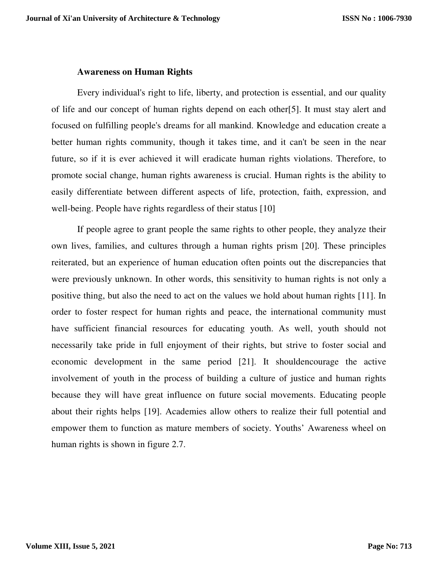## **Awareness on Human Rights**

Every individual's right to life, liberty, and protection is essential, and our quality of life and our concept of human rights depend on each other[5]. It must stay alert and focused on fulfilling people's dreams for all mankind. Knowledge and education create a better human rights community, though it takes time, and it can't be seen in the near future, so if it is ever achieved it will eradicate human rights violations. Therefore, to promote social change, human rights awareness is crucial. Human rights is the ability to easily differentiate between different aspects of life, protection, faith, expression, and well-being. People have rights regardless of their status [10]

If people agree to grant people the same rights to other people, they analyze their own lives, families, and cultures through a human rights prism [20]. These principles reiterated, but an experience of human education often points out the discrepancies that were previously unknown. In other words, this sensitivity to human rights is not only a positive thing, but also the need to act on the values we hold about human rights [11]. In order to foster respect for human rights and peace, the international community must have sufficient financial resources for educating youth. As well, youth should not necessarily take pride in full enjoyment of their rights, but strive to foster social and economic development in the same period [21]. It shouldencourage the active involvement of youth in the process of building a culture of justice and human rights because they will have great influence on future social movements. Educating people about their rights helps [19]. Academies allow others to realize their full potential and empower them to function as mature members of society. Youths' Awareness wheel on human rights is shown in figure 2.7.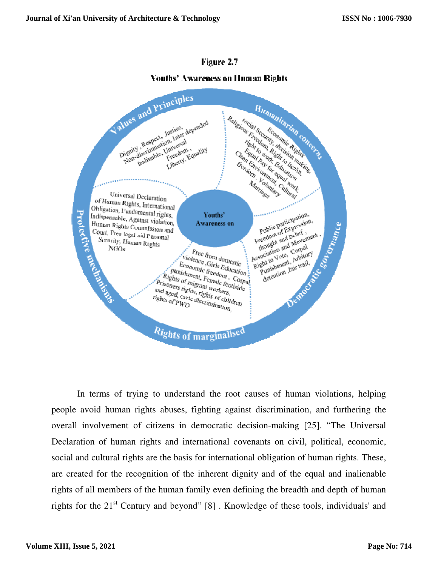

# Figure 2.7

# **Youths' Awareness on Human Rights**

In terms of trying to understand the root causes of human violations, helping people avoid human rights abuses, fighting against discrimination, and furthering the overall involvement of citizens in democratic decision-making [25]. "The Universal Declaration of human rights and international covenants on civil, political, economic, social and cultural rights are the basis for international obligation of human rights. These, are created for the recognition of the inherent dignity and of the equal and inalienable rights of all members of the human family even defining the breadth and depth of human rights for the 21<sup>st</sup> Century and beyond" [8]. Knowledge of these tools, individuals' and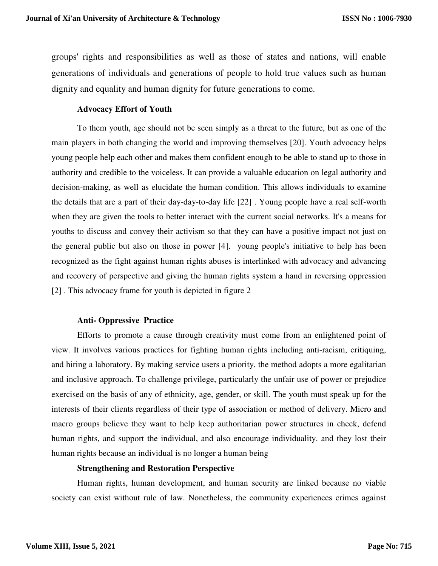groups' rights and responsibilities as well as those of states and nations, will enable generations of individuals and generations of people to hold true values such as human dignity and equality and human dignity for future generations to come.

#### **Advocacy Effort of Youth**

To them youth, age should not be seen simply as a threat to the future, but as one of the main players in both changing the world and improving themselves [20]. Youth advocacy helps young people help each other and makes them confident enough to be able to stand up to those in authority and credible to the voiceless. It can provide a valuable education on legal authority and decision-making, as well as elucidate the human condition. This allows individuals to examine the details that are a part of their day-day-to-day life [22] . Young people have a real self-worth when they are given the tools to better interact with the current social networks. It's a means for youths to discuss and convey their activism so that they can have a positive impact not just on the general public but also on those in power [4]. young people's initiative to help has been recognized as the fight against human rights abuses is interlinked with advocacy and advancing and recovery of perspective and giving the human rights system a hand in reversing oppression [2] . This advocacy frame for youth is depicted in figure 2

# **Anti- Oppressive Practice**

Efforts to promote a cause through creativity must come from an enlightened point of view. It involves various practices for fighting human rights including anti-racism, critiquing, and hiring a laboratory. By making service users a priority, the method adopts a more egalitarian and inclusive approach. To challenge privilege, particularly the unfair use of power or prejudice exercised on the basis of any of ethnicity, age, gender, or skill. The youth must speak up for the interests of their clients regardless of their type of association or method of delivery. Micro and macro groups believe they want to help keep authoritarian power structures in check, defend human rights, and support the individual, and also encourage individuality. and they lost their human rights because an individual is no longer a human being

#### **Strengthening and Restoration Perspective**

Human rights, human development, and human security are linked because no viable society can exist without rule of law. Nonetheless, the community experiences crimes against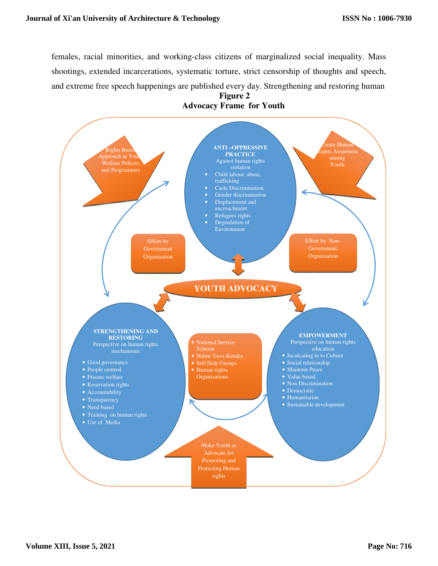females, racial minorities, and working-class citizens of marginalized social inequality. Mass shootings, extended incarcerations, systematic torture, strict censorship of thoughts and speech, and extreme free speech happenings are published every day. Strengthening and restoring human



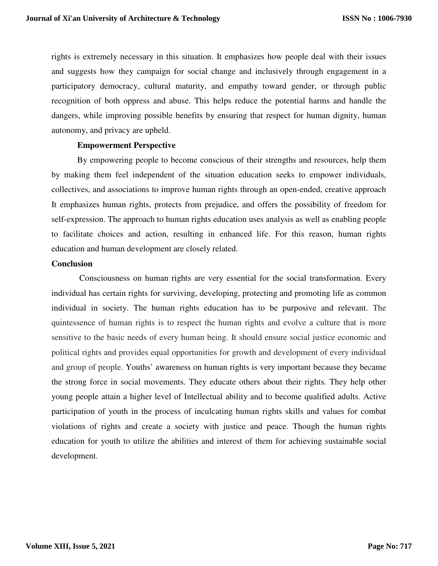rights is extremely necessary in this situation. It emphasizes how people deal with their issues and suggests how they campaign for social change and inclusively through engagement in a participatory democracy, cultural maturity, and empathy toward gender, or through public recognition of both oppress and abuse. This helps reduce the potential harms and handle the dangers, while improving possible benefits by ensuring that respect for human dignity, human autonomy, and privacy are upheld.

#### **Empowerment Perspective**

By empowering people to become conscious of their strengths and resources, help them by making them feel independent of the situation education seeks to empower individuals, collectives, and associations to improve human rights through an open-ended, creative approach It emphasizes human rights, protects from prejudice, and offers the possibility of freedom for self-expression. The approach to human rights education uses analysis as well as enabling people to facilitate choices and action, resulting in enhanced life. For this reason, human rights education and human development are closely related.

## **Conclusion**

 Consciousness on human rights are very essential for the social transformation. Every individual has certain rights for surviving, developing, protecting and promoting life as common individual in society. The human rights education has to be purposive and relevant. The quintessence of human rights is to respect the human rights and evolve a culture that is more sensitive to the basic needs of every human being. It should ensure social justice economic and political rights and provides equal opportunities for growth and development of every individual and group of people. Youths' awareness on human rights is very important because they became the strong force in social movements. They educate others about their rights. They help other young people attain a higher level of Intellectual ability and to become qualified adults. Active participation of youth in the process of inculcating human rights skills and values for combat violations of rights and create a society with justice and peace. Though the human rights education for youth to utilize the abilities and interest of them for achieving sustainable social development.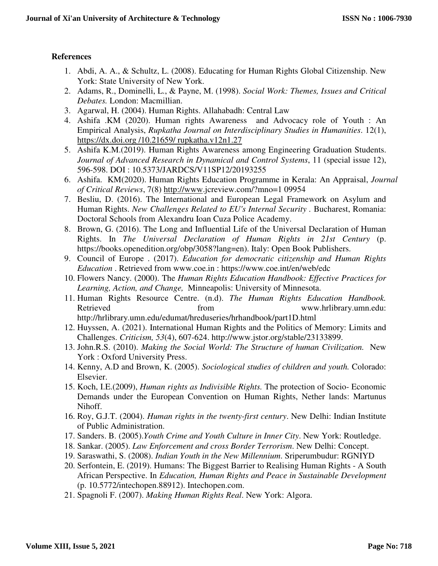# **References**

- 1. Abdi, A. A., & Schultz, L. (2008). Educating for Human Rights Global Citizenship. New York: State University of New York.
- 2. Adams, R., Dominelli, L., & Payne, M. (1998). *Social Work: Themes, Issues and Critical Debates.* London: Macmillian.
- 3. Agarwal, H. (2004). Human Rights. Allahabadh: Central Law
- 4. Ashifa .KM (2020). Human rights Awareness and Advocacy role of Youth : An Empirical Analysis, *Rupkatha Journal on Interdisciplinary Studies in Humanities*. 12(1), https://dx.doi.org /10.21659/ rupkatha.v12n1.27
- 5. Ashifa K.M.(2019). Human Rights Awareness among Engineering Graduation Students. *Journal of Advanced Research in Dynamical and Control Systems*, 11 (special issue 12), 596-598. DOI : 10.5373/JARDCS/V11SP12/20193255
- 6. Ashifa. KM(2020). Human Rights Education Programme in Kerala: An Appraisal, *Journal of Critical Reviews*, 7(8) http://www.jcreview.com/?mno=1 09954
- 7. Besliu, D. (2016). The International and European Legal Framework on Asylum and Human Rights. *New Challenges Related to EU's Internal Security .* Bucharest, Romania: Doctoral Schools from Alexandru Ioan Cuza Police Academy.
- 8. Brown, G. (2016). The Long and Influential Life of the Universal Declaration of Human Rights. In *The Universal Declaration of Human Rights in 21st Century* (p. https://books.openedition.org/obp/3058?lang=en). Italy: Open Book Publishers.
- 9. Council of Europe . (2017). *Education for democratic citizenship and Human Rights Education* . Retrieved from www.coe.in : https://www.coe.int/en/web/edc
- 10. Flowers Nancy. (2000). The *Human Rights Education Handbook: Effective Practices for Learning, Action, and Change,* Minneapolis: University of Minnesota.
- 11. Human Rights Resource Centre. (n.d). *The Human Rights Education Handbook.* Retrieved from from www.hrlibrary.umn.edu: http://hrlibrary.umn.edu/edumat/hreduseries/hrhandbook/part1D.html
- 12. Huyssen, A. (2021). International Human Rights and the Politics of Memory: Limits and Challenges. *Criticism, 53*(4), 607-624. http://www.jstor.org/stable/23133899.
- 13. John.R.S. (2010). *Making the Social World: The Structure of human Civilization.* New York : Oxford University Press.
- 14. Kenny, A.D and Brown, K. (2005). *Sociological studies of children and youth.* Colorado: Elsevier.
- 15. Koch, I.E.(2009), *Human rights as Indivisible Rights.* The protection of Socio- Economic Demands under the European Convention on Human Rights, Nether lands: Martunus Nihoff.
- 16. Roy, G.J.T. (2004). *Human rights in the twenty-first century*. New Delhi: Indian Institute of Public Administration.
- 17. Sanders. B. (2005).*Youth Crime and Youth Culture in Inner City*. New York: Routledge.
- 18. Sankar. (2005). *Law Enforcement and cross Border Terrorism*. New Delhi: Concept.
- 19. Saraswathi, S. (2008). *Indian Youth in the New Millennium*. Sriperumbudur: RGNIYD
- 20. Serfontein, E. (2019). Humans: The Biggest Barrier to Realising Human Rights A South African Perspective. In *Education, Human Rights and Peace in Sustainable Development* (p. 10.5772/intechopen.88912). Intechopen.com.
- 21. Spagnoli F. (2007). *Making Human Rights Real*. New York: Algora.